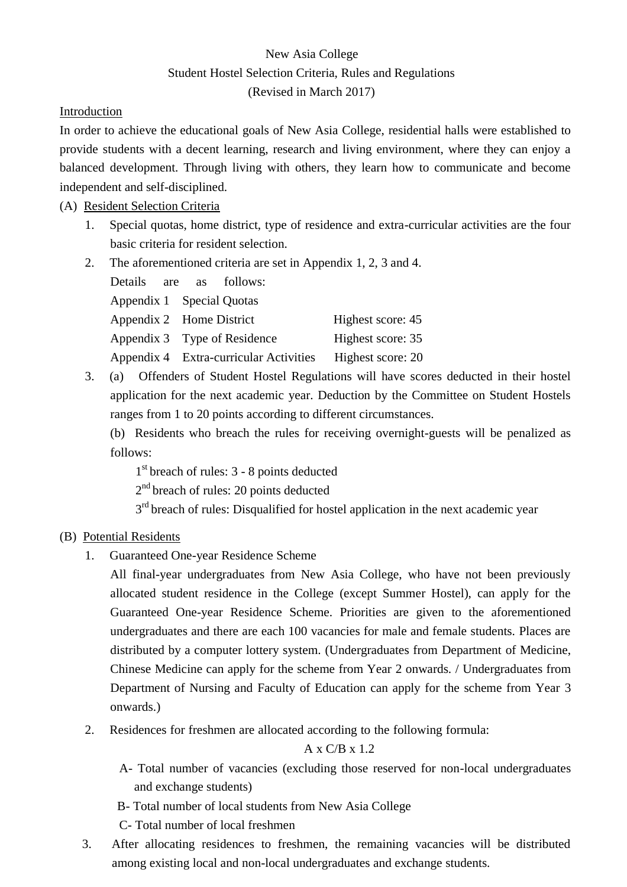# New Asia College Student Hostel Selection Criteria, Rules and Regulations (Revised in March 2017)

## Introduction

In order to achieve the educational goals of New Asia College, residential halls were established to provide students with a decent learning, research and living environment, where they can enjoy a balanced development. Through living with others, they learn how to communicate and become independent and self-disciplined.

(A) Resident Selection Criteria

- 1. Special quotas, home district, type of residence and extra-curricular activities are the four basic criteria for resident selection.
- 2. The aforementioned criteria are set in Appendix 1, 2, 3 and 4.

| Details                   | are | as and the same of the same of the same of the same of the same of the same of the same of the same of the same of the same of the same of the same of the same of the same of the same of the same of the same of the same of | follows:                               |                   |
|---------------------------|-----|--------------------------------------------------------------------------------------------------------------------------------------------------------------------------------------------------------------------------------|----------------------------------------|-------------------|
| Appendix 1 Special Quotas |     |                                                                                                                                                                                                                                |                                        |                   |
| Appendix 2 Home District  |     |                                                                                                                                                                                                                                |                                        | Highest score: 45 |
|                           |     |                                                                                                                                                                                                                                | Appendix 3 Type of Residence           | Highest score: 35 |
|                           |     |                                                                                                                                                                                                                                | Appendix 4 Extra-curricular Activities | Highest score: 20 |

3. (a) Offenders of Student Hostel Regulations will have scores deducted in their hostel application for the next academic year. Deduction by the Committee on Student Hostels ranges from 1 to 20 points according to different circumstances.

(b) Residents who breach the rules for receiving overnight-guests will be penalized as follows:

1<sup>st</sup> breach of rules: 3 - 8 points deducted

2<sup>nd</sup> breach of rules: 20 points deducted

3<sup>rd</sup> breach of rules: Disqualified for hostel application in the next academic year

# (B) Potential Residents

1. Guaranteed One-year Residence Scheme

All final-year undergraduates from New Asia College, who have not been previously allocated student residence in the College (except Summer Hostel), can apply for the Guaranteed One-year Residence Scheme. Priorities are given to the aforementioned undergraduates and there are each 100 vacancies for male and female students. Places are distributed by a computer lottery system. (Undergraduates from Department of Medicine, Chinese Medicine can apply for the scheme from Year 2 onwards. / Undergraduates from Department of Nursing and Faculty of Education can apply for the scheme from Year 3 onwards.)

2. Residences for freshmen are allocated according to the following formula:

### A x C/B x 1.2

- A- Total number of vacancies (excluding those reserved for non-local undergraduates and exchange students)
- B- Total number of local students from New Asia College

C- Total number of local freshmen

3. After allocating residences to freshmen, the remaining vacancies will be distributed among existing local and non-local undergraduates and exchange students.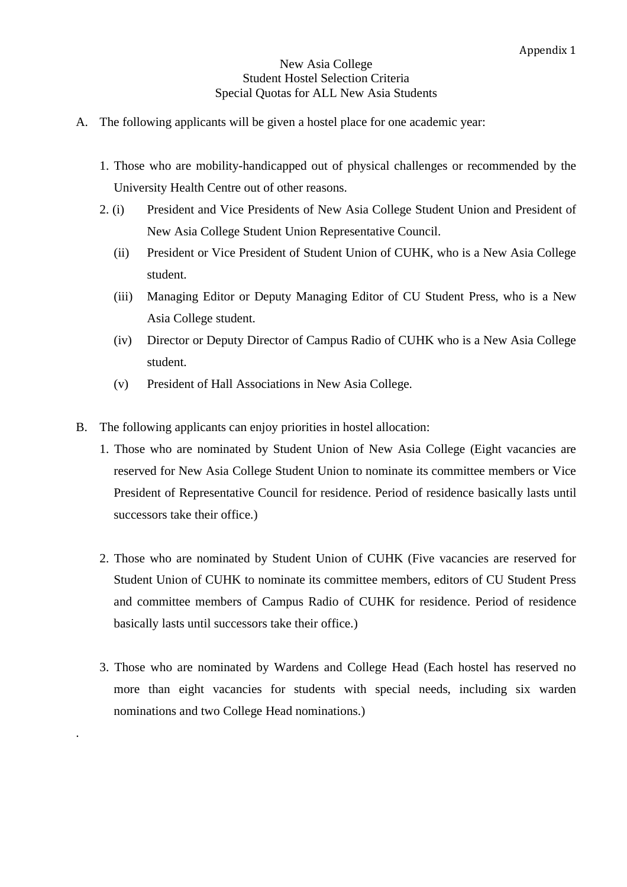#### New Asia College Student Hostel Selection Criteria Special Quotas for ALL New Asia Students

- A. The following applicants will be given a hostel place for one academic year:
	- 1. Those who are mobility-handicapped out of physical challenges or recommended by the University Health Centre out of other reasons.
	- 2. (i) President and Vice Presidents of New Asia College Student Union and President of New Asia College Student Union Representative Council.
		- (ii) President or Vice President of Student Union of CUHK, who is a New Asia College student.
		- (iii) Managing Editor or Deputy Managing Editor of CU Student Press, who is a New Asia College student.
		- (iv) Director or Deputy Director of Campus Radio of CUHK who is a New Asia College student.
		- (v) President of Hall Associations in New Asia College.
- B. The following applicants can enjoy priorities in hostel allocation:

.

- 1. Those who are nominated by Student Union of New Asia College (Eight vacancies are reserved for New Asia College Student Union to nominate its committee members or Vice President of Representative Council for residence. Period of residence basically lasts until successors take their office.)
- 2. Those who are nominated by Student Union of CUHK (Five vacancies are reserved for Student Union of CUHK to nominate its committee members, editors of CU Student Press and committee members of Campus Radio of CUHK for residence. Period of residence basically lasts until successors take their office.)
- 3. Those who are nominated by Wardens and College Head (Each hostel has reserved no more than eight vacancies for students with special needs, including six warden nominations and two College Head nominations.)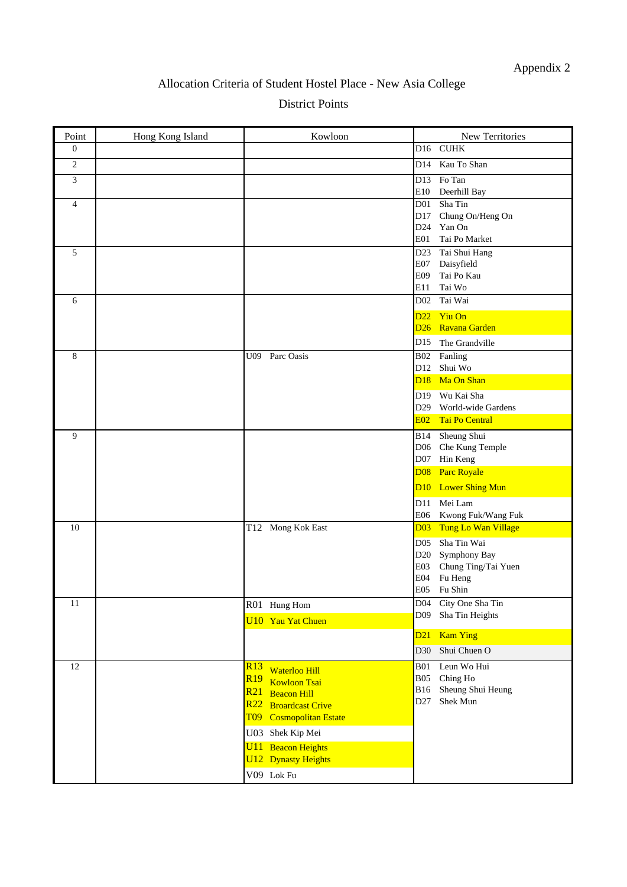# Allocation Criteria of Student Hostel Place - New Asia College

District Points

| Point          | Hong Kong Island | Kowloon                                  | New Territories                              |
|----------------|------------------|------------------------------------------|----------------------------------------------|
| $\mathbf{0}$   |                  |                                          | D16 CUHK                                     |
| 2              |                  |                                          | D14 Kau To Shan                              |
| 3              |                  |                                          | D13 Fo Tan                                   |
|                |                  |                                          | E10 Deerhill Bay                             |
| $\overline{4}$ |                  |                                          | Sha Tin<br>D01                               |
|                |                  |                                          | Chung On/Heng On<br>D17<br>D24 Yan On        |
|                |                  |                                          | E01<br>Tai Po Market                         |
| 5              |                  |                                          | Tai Shui Hang<br>D <sub>23</sub>             |
|                |                  |                                          | Daisyfield<br>E07                            |
|                |                  |                                          | E09<br>Tai Po Kau                            |
|                |                  |                                          | Tai Wo<br>E11                                |
| 6              |                  |                                          | D02 Tai Wai                                  |
|                |                  |                                          | D <sub>22</sub> Yiu On                       |
|                |                  |                                          | D <sub>26</sub> Ravana Garden                |
|                |                  |                                          | D15 The Grandville                           |
| 8              |                  | Parc Oasis<br>U09                        | B02 Fanling                                  |
|                |                  |                                          | D12 Shui Wo                                  |
|                |                  |                                          | D <sub>18</sub> Ma On Shan                   |
|                |                  |                                          | D19 Wu Kai Sha                               |
|                |                  |                                          | D29 World-wide Gardens<br>E02 Tai Po Central |
|                |                  |                                          |                                              |
| 9              |                  |                                          | Sheung Shui<br><b>B</b> 14                   |
|                |                  |                                          | D06 Che Kung Temple<br>Hin Keng<br>D07       |
|                |                  |                                          | <b>Parc Royale</b><br><b>D08</b>             |
|                |                  |                                          | D10 Lower Shing Mun                          |
|                |                  |                                          |                                              |
|                |                  |                                          | Mei Lam<br>D11<br>Kwong Fuk/Wang Fuk<br>E06  |
| 10             |                  | T12 Mong Kok East                        | Tung Lo Wan Village<br>D <sub>03</sub>       |
|                |                  |                                          | Sha Tin Wai<br>D <sub>05</sub>               |
|                |                  |                                          | Symphony Bay<br>D20                          |
|                |                  |                                          | Chung Ting/Tai Yuen<br>E03                   |
|                |                  |                                          | Fu Heng<br>E04                               |
|                |                  |                                          | E05 Fu Shin                                  |
| 11             |                  | R01 Hung Hom                             | D04<br>City One Sha Tin                      |
|                |                  | <b>U10 Yau Yat Chuen</b>                 | Sha Tin Heights<br>D <sub>09</sub>           |
|                |                  |                                          | <b>Kam Ying</b><br>D21                       |
|                |                  |                                          | Shui Chuen O<br>D30                          |
| 12             |                  | R13<br><b>Waterloo Hill</b>              | Leun Wo Hui<br><b>B01</b>                    |
|                |                  | R <sub>19</sub><br><b>Kowloon Tsai</b>   | Ching Ho<br><b>B05</b>                       |
|                |                  | R21<br><b>Beacon Hill</b>                | Sheung Shui Heung<br><b>B16</b>              |
|                |                  | R22<br><b>Broardcast Crive</b>           | Shek Mun<br>D <sub>27</sub>                  |
|                |                  | <b>Cosmopolitan Estate</b><br><b>T09</b> |                                              |
|                |                  | U03 Shek Kip Mei                         |                                              |
|                |                  | U11<br><b>Beacon Heights</b>             |                                              |
|                |                  | <b>U12</b> Dynasty Heights               |                                              |
|                |                  | V09 Lok Fu                               |                                              |
|                |                  |                                          |                                              |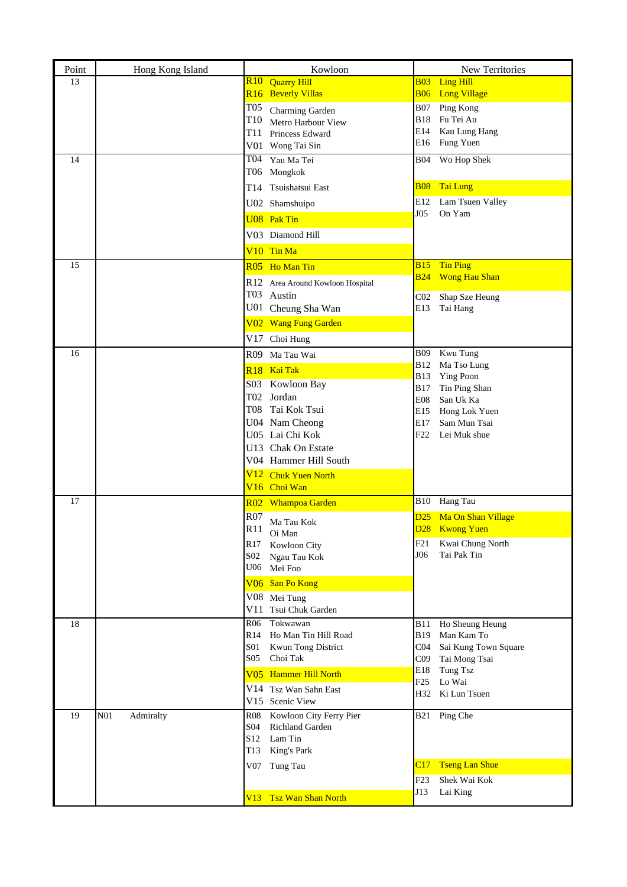| Point | Hong Kong Island             |                   | Kowloon                                        |                          | New Territories                                  |
|-------|------------------------------|-------------------|------------------------------------------------|--------------------------|--------------------------------------------------|
| 13    |                              |                   | R <sub>10</sub> Quarry Hill                    | <b>B03</b>               | <b>Ling Hill</b>                                 |
|       |                              |                   | R <sub>16</sub> Beverly Villas                 | <b>B06</b>               | <b>Long Village</b>                              |
|       |                              | <b>T05</b><br>T10 | Charming Garden                                | <b>B07</b><br><b>B18</b> | Ping Kong<br>Fu Tei Au                           |
|       |                              |                   | Metro Harbour View<br>T11 Princess Edward      | E14                      | Kau Lung Hang                                    |
|       |                              |                   | V01 Wong Tai Sin                               | E16                      | Fung Yuen                                        |
| 14    |                              |                   | T04 Yau Ma Tei                                 | B04                      | Wo Hop Shek                                      |
|       |                              |                   | T06 Mongkok                                    |                          |                                                  |
|       |                              |                   | T14 Tsuishatsui East                           |                          | <b>B08</b> Tai Lung                              |
|       |                              |                   | U02 Shamshuipo                                 | E12                      | Lam Tsuen Valley                                 |
|       |                              |                   | <b>U08</b> Pak Tin                             | J05                      | On Yam                                           |
|       |                              |                   | V03 Diamond Hill                               |                          |                                                  |
|       |                              |                   | V <sub>10</sub> Tin Ma                         |                          |                                                  |
| 15    |                              |                   | R05 Ho Man Tin                                 | <b>B15</b>               | <b>Tin Ping</b>                                  |
|       |                              |                   | R12 Area Around Kowloon Hospital               | <b>B24</b>               | <b>Wong Hau Shan</b>                             |
|       |                              |                   | T03 Austin                                     | CO <sub>2</sub>          | Shap Sze Heung                                   |
|       |                              |                   | U01 Cheung Sha Wan                             | E13                      | Tai Hang                                         |
|       |                              |                   | V02 Wang Fung Garden                           |                          |                                                  |
|       |                              |                   | V17 Choi Hung                                  |                          |                                                  |
| 16    |                              |                   | R09 Ma Tau Wai                                 | B09<br><b>B12</b>        | Kwu Tung<br>Ma Tso Lung                          |
|       |                              |                   | R <sub>18</sub> Kai Tak                        | <b>B13</b>               | <b>Ying Poon</b>                                 |
|       |                              |                   | S03 Kowloon Bay                                | <b>B17</b>               | Tin Ping Shan                                    |
|       |                              |                   | T02 Jordan                                     | <b>E08</b>               | San Uk Ka                                        |
|       |                              |                   | T08 Tai Kok Tsui<br>U04 Nam Cheong             | E15<br>E17               | Hong Lok Yuen<br>Sam Mun Tsai                    |
|       |                              |                   | U05 Lai Chi Kok                                | F22                      | Lei Muk shue                                     |
|       |                              |                   | U13 Chak On Estate                             |                          |                                                  |
|       |                              |                   | V04 Hammer Hill South                          |                          |                                                  |
|       |                              |                   | V12 Chuk Yuen North                            |                          |                                                  |
|       |                              |                   | V <sub>16</sub> Choi Wan                       |                          |                                                  |
| 17    |                              |                   | R02 Whampoa Garden                             |                          | B10 Hang Tau                                     |
|       |                              | R07<br>R11        | Ma Tau Kok                                     | D <sub>25</sub>          | Ma On Shan Village<br>D <sub>28</sub> Kwong Yuen |
|       |                              |                   | Oi Man                                         | F21                      | Kwai Chung North                                 |
|       |                              |                   | R17 Kowloon City<br>S02 Ngau Tau Kok           | J06                      | Tai Pak Tin                                      |
|       |                              |                   | U06 Mei Foo                                    |                          |                                                  |
|       |                              |                   | V06 San Po Kong                                |                          |                                                  |
|       |                              |                   | V08 Mei Tung                                   |                          |                                                  |
|       |                              |                   | V11 Tsui Chuk Garden                           |                          |                                                  |
| 18    |                              | R06               | Tokwawan<br>R14 Ho Man Tin Hill Road           | <b>B11</b><br><b>B19</b> | Ho Sheung Heung<br>Man Kam To                    |
|       |                              |                   | S01 Kwun Tong District                         | C <sub>04</sub>          | Sai Kung Town Square                             |
|       |                              |                   | S05 Choi Tak                                   | C <sub>09</sub>          | Tai Mong Tsai                                    |
|       |                              |                   | V05 Hammer Hill North                          | E18<br>F25               | Tung Tsz<br>Lo Wai                               |
|       |                              |                   | V14 Tsz Wan Sahn East                          |                          | H32 Ki Lun Tsuen                                 |
|       |                              |                   | V15 Scenic View                                |                          |                                                  |
| 19    | N <sub>01</sub><br>Admiralty | S04               | R08 Kowloon City Ferry Pier<br>Richland Garden |                          | B21 Ping Che                                     |
|       |                              |                   | S12 Lam Tin                                    |                          |                                                  |
|       |                              |                   | T13 King's Park                                |                          |                                                  |
|       |                              |                   | V07 Tung Tau                                   | C17                      | <b>Tseng Lan Shue</b>                            |
|       |                              |                   |                                                | F23                      | Shek Wai Kok                                     |
|       |                              |                   | V13 Tsz Wan Shan North                         | J13                      | Lai King                                         |
|       |                              |                   |                                                |                          |                                                  |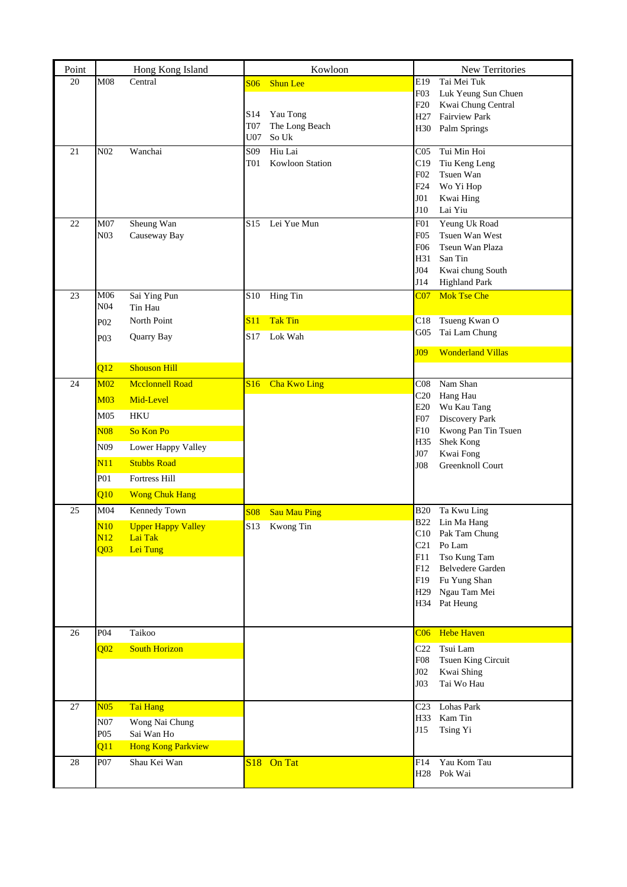| Point |                  | Hong Kong Island          |                 | Kowloon             |                        | New Territories                            |
|-------|------------------|---------------------------|-----------------|---------------------|------------------------|--------------------------------------------|
| 20    | M08              | Central                   | S06             | <b>Shun Lee</b>     | E <sub>19</sub>        | Tai Mei Tuk                                |
|       |                  |                           |                 |                     | F03                    | Luk Yeung Sun Chuen                        |
|       |                  |                           | S <sub>14</sub> | Yau Tong            | F20<br>H <sub>27</sub> | Kwai Chung Central<br><b>Fairview Park</b> |
|       |                  |                           | <b>T07</b>      | The Long Beach      | H30                    | Palm Springs                               |
|       |                  |                           | U07             | So Uk               |                        |                                            |
| 21    | N <sub>02</sub>  | Wanchai                   | S <sub>09</sub> | Hiu Lai             | C <sub>05</sub>        | Tui Min Hoi                                |
|       |                  |                           | <b>T01</b>      | Kowloon Station     | C19                    | Tiu Keng Leng                              |
|       |                  |                           |                 |                     | F02<br>F <sub>24</sub> | Tsuen Wan<br>Wo Yi Hop                     |
|       |                  |                           |                 |                     | J01                    | Kwai Hing                                  |
|       |                  |                           |                 |                     | J10                    | Lai Yiu                                    |
| 22    | M07              | Sheung Wan                | S <sub>15</sub> | Lei Yue Mun         | F <sub>01</sub>        | Yeung Uk Road                              |
|       | N <sub>03</sub>  | Causeway Bay              |                 |                     | F <sub>05</sub>        | Tsuen Wan West                             |
|       |                  |                           |                 |                     | F06                    | Tseun Wan Plaza                            |
|       |                  |                           |                 |                     | H31                    | San Tin                                    |
|       |                  |                           |                 |                     | J04<br>J14             | Kwai chung South<br><b>Highland Park</b>   |
| 23    | M06              | Sai Ying Pun              | <b>S10</b>      | Hing Tin            | CO <sub>7</sub>        | <b>Mok Tse Che</b>                         |
|       | N <sub>04</sub>  | Tin Hau                   |                 |                     |                        |                                            |
|       | P <sub>02</sub>  | North Point               | S11             | <b>Tak Tin</b>      | C18                    | Tsueng Kwan O                              |
|       | P <sub>0</sub> 3 | Quarry Bay                | S17             | Lok Wah             | G05                    | Tai Lam Chung                              |
|       |                  |                           |                 |                     | J09                    | <b>Wonderland Villas</b>                   |
|       | Q12              | <b>Shouson Hill</b>       |                 |                     |                        |                                            |
| 24    | M <sub>02</sub>  | <b>Mcclonnell Road</b>    |                 | S16 Cha Kwo Ling    | C <sub>08</sub>        | Nam Shan                                   |
|       | <b>M03</b>       | Mid-Level                 |                 |                     | C20                    | Hang Hau                                   |
|       |                  |                           |                 |                     | E20                    | Wu Kau Tang                                |
|       | M <sub>05</sub>  | <b>HKU</b>                |                 |                     | F07                    | Discovery Park                             |
|       | <b>N08</b>       | So Kon Po                 |                 |                     | F10<br>H35             | Kwong Pan Tin Tsuen<br>Shek Kong           |
|       | N <sub>09</sub>  | Lower Happy Valley        |                 |                     | J07                    | Kwai Fong                                  |
|       | N11              | <b>Stubbs Road</b>        |                 |                     | J08                    | Greenknoll Court                           |
|       | P <sub>01</sub>  | Fortress Hill             |                 |                     |                        |                                            |
|       | Q10              | <b>Wong Chuk Hang</b>     |                 |                     |                        |                                            |
| 25    | M <sub>04</sub>  | Kennedy Town              | <b>S08</b>      | <b>Sau Mau Ping</b> | <b>B20</b>             | Ta Kwu Ling                                |
|       | N10              | <b>Upper Happy Valley</b> | S13             | Kwong Tin           |                        | B22 Lin Ma Hang                            |
|       | N12              | Lai Tak                   |                 |                     |                        | C10 Pak Tam Chung                          |
|       | Q <sub>03</sub>  | Lei Tung                  |                 |                     | C21<br>F11             | Po Lam                                     |
|       |                  |                           |                 |                     | F12                    | Tso Kung Tam<br>Belvedere Garden           |
|       |                  |                           |                 |                     | F19                    | Fu Yung Shan                               |
|       |                  |                           |                 |                     | H <sub>29</sub>        | Ngau Tam Mei                               |
|       |                  |                           |                 |                     |                        | H34 Pat Heung                              |
|       |                  |                           |                 |                     |                        |                                            |
| 26    | P <sub>04</sub>  | Taikoo                    |                 |                     | CO6                    | <b>Hebe Haven</b>                          |
|       | Q <sub>02</sub>  | <b>South Horizon</b>      |                 |                     | C22                    | Tsui Lam                                   |
|       |                  |                           |                 |                     | <b>F08</b>             | Tsuen King Circuit                         |
|       |                  |                           |                 |                     | J02<br>J03             | Kwai Shing<br>Tai Wo Hau                   |
|       |                  |                           |                 |                     |                        |                                            |
| 27    | N <sub>05</sub>  | Tai Hang                  |                 |                     | C <sub>23</sub>        | Lohas Park                                 |
|       | N07              | Wong Nai Chung            |                 |                     | H33                    | Kam Tin                                    |
|       | P <sub>05</sub>  | Sai Wan Ho                |                 |                     | J15                    | Tsing Yi                                   |
|       | Q11              | <b>Hong Kong Parkview</b> |                 |                     |                        |                                            |
| 28    | P07              | Shau Kei Wan              |                 | S18 On Tat          | F14                    | Yau Kom Tau                                |
|       |                  |                           |                 |                     | H28                    | Pok Wai                                    |
|       |                  |                           |                 |                     |                        |                                            |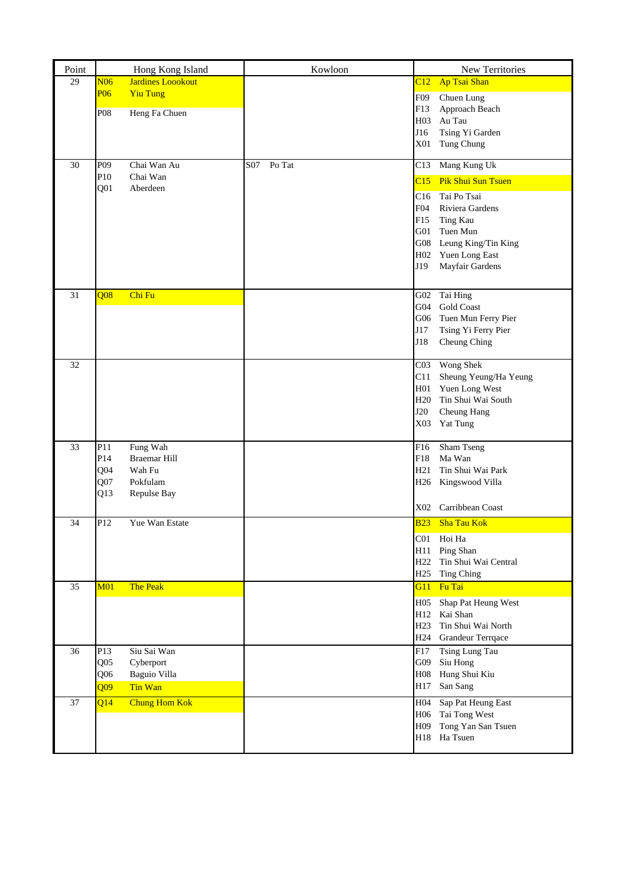| Point |                                    | Hong Kong Island                 | Kowloon       | New Territories                                                                                                                                                     |
|-------|------------------------------------|----------------------------------|---------------|---------------------------------------------------------------------------------------------------------------------------------------------------------------------|
| 29    | N06                                | <b>Jardines Loookout</b>         |               | Ap Tsai Shan<br>C12                                                                                                                                                 |
|       | P <sub>06</sub><br>P <sub>08</sub> | <b>Yiu Tung</b><br>Heng Fa Chuen |               | F09<br>Chuen Lung<br>F13<br>Approach Beach<br>H <sub>03</sub><br>Au Tau<br>Tsing Yi Garden<br>J16<br>X01<br>Tung Chung                                              |
| 30    | P <sub>09</sub>                    | Chai Wan Au                      | Po Tat<br>S07 | Mang Kung Uk<br>C13                                                                                                                                                 |
|       | P10                                | Chai Wan                         |               | <b>Pik Shui Sun Tsuen</b><br>C15                                                                                                                                    |
|       | Q <sub>01</sub>                    | Aberdeen                         |               | C16<br>Tai Po Tsai<br>F04<br>Riviera Gardens<br>F15<br>Ting Kau<br>G01<br>Tuen Mun<br>Leung King/Tin King<br>G08<br>Yuen Long East<br>H02<br>J19<br>Mayfair Gardens |
| 31    | <b>O08</b>                         | Chi Fu                           |               | Tai Hing<br>G02                                                                                                                                                     |
|       |                                    |                                  |               | Gold Coast<br>G04<br>G06<br>Tuen Mun Ferry Pier                                                                                                                     |
|       |                                    |                                  |               | J17<br>Tsing Yi Ferry Pier                                                                                                                                          |
|       |                                    |                                  |               | J18<br>Cheung Ching                                                                                                                                                 |
| 32    |                                    |                                  |               | Wong Shek<br>CO <sub>3</sub><br>Sheung Yeung/Ha Yeung<br>C11                                                                                                        |
|       |                                    |                                  |               | Yuen Long West<br>H01                                                                                                                                               |
|       |                                    |                                  |               | H <sub>20</sub><br>Tin Shui Wai South<br><b>J20</b><br>Cheung Hang                                                                                                  |
|       |                                    |                                  |               | X03<br>Yat Tung                                                                                                                                                     |
| 33    | P11                                | Fung Wah                         |               | Sham Tseng<br>F16                                                                                                                                                   |
|       | P14<br>Q <sub>04</sub>             | <b>Braemar Hill</b><br>Wah Fu    |               | Ma Wan<br>F18<br>H21<br>Tin Shui Wai Park                                                                                                                           |
|       | Q <sub>07</sub>                    | Pokfulam                         |               | H26 Kingswood Villa                                                                                                                                                 |
|       | Q13                                | Repulse Bay                      |               | Carribbean Coast<br>X02                                                                                                                                             |
| 34    | P12                                | Yue Wan Estate                   |               | <b>B23</b><br><b>Sha Tau Kok</b>                                                                                                                                    |
|       |                                    |                                  |               | C01 Hoi Ha                                                                                                                                                          |
|       |                                    |                                  |               | H11 Ping Shan<br>H <sub>22</sub><br>Tin Shui Wai Central                                                                                                            |
|       |                                    |                                  |               | H25<br><b>Ting Ching</b>                                                                                                                                            |
| 35    | M <sub>01</sub>                    | The Peak                         |               | Fu Tai<br>G11                                                                                                                                                       |
|       |                                    |                                  |               | H <sub>05</sub><br>Shap Pat Heung West                                                                                                                              |
|       |                                    |                                  |               | H12 Kai Shan<br>H <sub>23</sub><br>Tin Shui Wai North                                                                                                               |
|       |                                    |                                  |               | H <sub>24</sub><br><b>Grandeur Terrqace</b>                                                                                                                         |
| 36    | P13                                | Siu Sai Wan                      |               | <b>Tsing Lung Tau</b><br>F17                                                                                                                                        |
|       | Q <sub>05</sub>                    | Cyberport                        |               | G09<br>Siu Hong                                                                                                                                                     |
|       | Q06                                | Baguio Villa                     |               | Hung Shui Kiu<br><b>H08</b>                                                                                                                                         |
|       | $\overline{Q09}$                   | Tin Wan                          |               | San Sang<br>H17                                                                                                                                                     |
| 37    | Q14                                | <b>Chung Hom Kok</b>             |               | Sap Pat Heung East<br>H04<br>H <sub>06</sub><br>Tai Tong West                                                                                                       |
|       |                                    |                                  |               | Tong Yan San Tsuen<br>H <sub>09</sub>                                                                                                                               |
|       |                                    |                                  |               | H18 Ha Tsuen                                                                                                                                                        |
|       |                                    |                                  |               |                                                                                                                                                                     |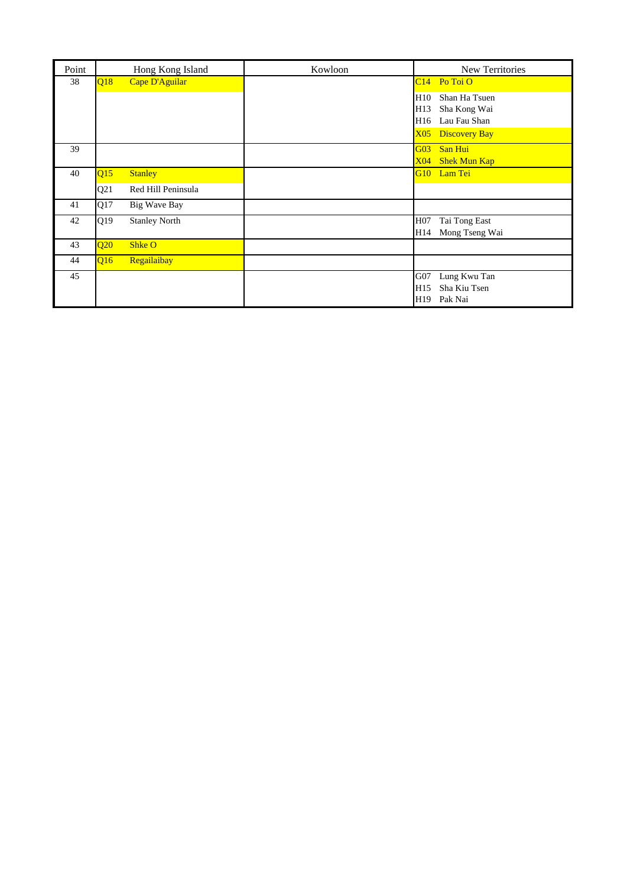| Point |     | Hong Kong Island     | Kowloon | New Territories                         |
|-------|-----|----------------------|---------|-----------------------------------------|
| 38    | Q18 | Cape D'Aguilar       |         | $C14$ Po Toi O                          |
|       |     |                      |         | H10<br>Shan Ha Tsuen                    |
|       |     |                      |         | Sha Kong Wai<br>H13                     |
|       |     |                      |         | Lau Fau Shan<br>H16                     |
|       |     |                      |         | X <sub>05</sub><br><b>Discovery Bay</b> |
| 39    |     |                      |         | San Hui<br>G <sub>03</sub>              |
|       |     |                      |         | <b>Shek Mun Kap</b><br>X04              |
| 40    | Q15 | <b>Stanley</b>       |         | G10 Lam Tei                             |
|       | Q21 | Red Hill Peninsula   |         |                                         |
| 41    | Q17 | <b>Big Wave Bay</b>  |         |                                         |
| 42    | Q19 | <b>Stanley North</b> |         | H <sub>07</sub><br>Tai Tong East        |
|       |     |                      |         | Mong Tseng Wai<br>H14                   |
| 43    | Q20 | Shke O               |         |                                         |
| 44    | Q16 | Regailaibay          |         |                                         |
| 45    |     |                      |         | Lung Kwu Tan<br>G07                     |
|       |     |                      |         | Sha Kiu Tsen<br>H <sub>15</sub>         |
|       |     |                      |         | Pak Nai<br>H19                          |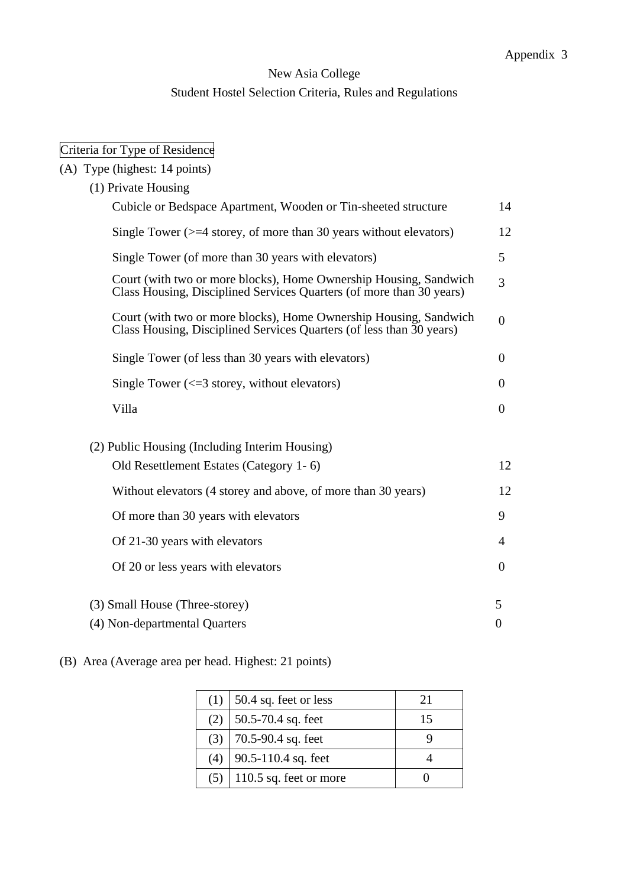# New Asia College Student Hostel Selection Criteria, Rules and Regulations

# Criteria for Type of Residence

| (A) Type (highest: 14 points)                                                                                                             |                |
|-------------------------------------------------------------------------------------------------------------------------------------------|----------------|
| (1) Private Housing                                                                                                                       |                |
| Cubicle or Bedspace Apartment, Wooden or Tin-sheeted structure                                                                            | 14             |
| Single Tower $(>=4$ storey, of more than 30 years without elevators)                                                                      | 12             |
| Single Tower (of more than 30 years with elevators)                                                                                       | 5              |
| Court (with two or more blocks), Home Ownership Housing, Sandwich<br>Class Housing, Disciplined Services Quarters (of more than 30 years) | 3              |
| Court (with two or more blocks), Home Ownership Housing, Sandwich<br>Class Housing, Disciplined Services Quarters (of less than 30 years) | $\overline{0}$ |
| Single Tower (of less than 30 years with elevators)                                                                                       | $\theta$       |
| Single Tower $\left(\leq 3\right)$ storey, without elevators)                                                                             | $\theta$       |
| Villa                                                                                                                                     | $\overline{0}$ |
| (2) Public Housing (Including Interim Housing)                                                                                            |                |
| Old Resettlement Estates (Category 1-6)                                                                                                   | 12             |
| Without elevators (4 storey and above, of more than 30 years)                                                                             | 12             |
| Of more than 30 years with elevators                                                                                                      | 9              |
| Of 21-30 years with elevators                                                                                                             | 4              |
| Of 20 or less years with elevators                                                                                                        | $\theta$       |
| (3) Small House (Three-storey)                                                                                                            | 5              |
| (4) Non-departmental Quarters                                                                                                             | $\theta$       |

(B) Area (Average area per head. Highest: 21 points)

|     | $(1)$ 50.4 sq. feet or less | 21 |
|-----|-----------------------------|----|
| (2) | 50.5-70.4 sq. feet          | 15 |
|     | $(3)$   70.5-90.4 sq. feet  |    |
| (4) | $90.5 - 110.4$ sq. feet     |    |
| (5) | 110.5 sq. feet or more      |    |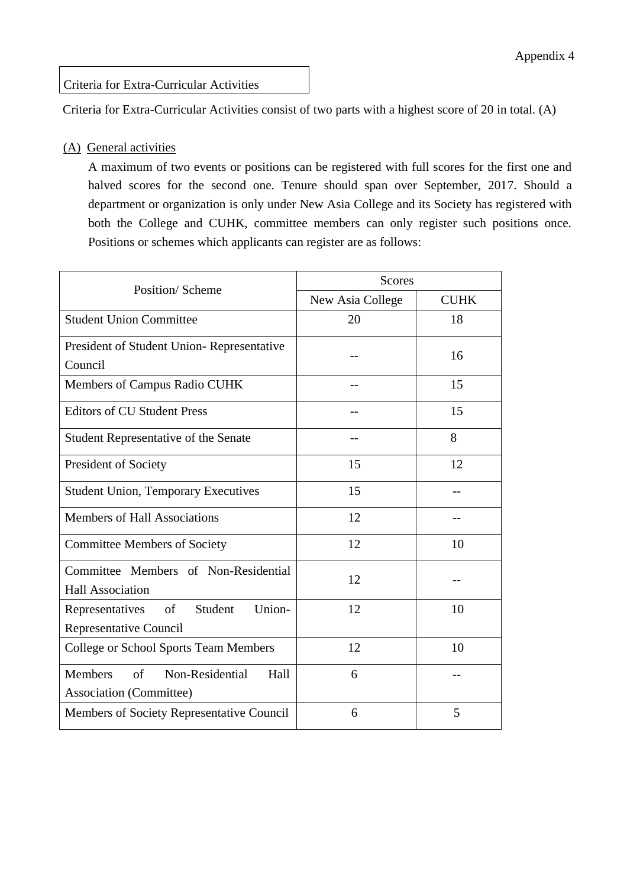Criteria for Extra-Curricular Activities

Criteria for Extra-Curricular Activities consist of two parts with a highest score of 20 in total. (A)

#### (A) General activities

A maximum of two events or positions can be registered with full scores for the first one and halved scores for the second one. Tenure should span over September, 2017. Should a department or organization is only under New Asia College and its Society has registered with both the College and CUHK, committee members can only register such positions once. Positions or schemes which applicants can register are as follows:

| Position/Scheme                                                            | <b>Scores</b>    |             |  |  |
|----------------------------------------------------------------------------|------------------|-------------|--|--|
|                                                                            | New Asia College | <b>CUHK</b> |  |  |
| <b>Student Union Committee</b>                                             | 20               | 18          |  |  |
| President of Student Union-Representative<br>Council                       |                  | 16          |  |  |
| Members of Campus Radio CUHK                                               |                  | 15          |  |  |
| <b>Editors of CU Student Press</b>                                         |                  | 15          |  |  |
| <b>Student Representative of the Senate</b>                                |                  | 8           |  |  |
| President of Society                                                       | 15               | 12          |  |  |
| <b>Student Union, Temporary Executives</b>                                 | 15               |             |  |  |
| <b>Members of Hall Associations</b>                                        | 12               |             |  |  |
| <b>Committee Members of Society</b>                                        | 12               | 10          |  |  |
| Committee Members of Non-Residential<br><b>Hall Association</b>            | 12               |             |  |  |
| Union-<br>of Student<br>Representatives<br>Representative Council          | 12               | 10          |  |  |
| <b>College or School Sports Team Members</b>                               | 12               | 10          |  |  |
| Members<br>Non-Residential<br>of<br>Hall<br><b>Association (Committee)</b> | 6                |             |  |  |
| Members of Society Representative Council                                  | 6                | 5           |  |  |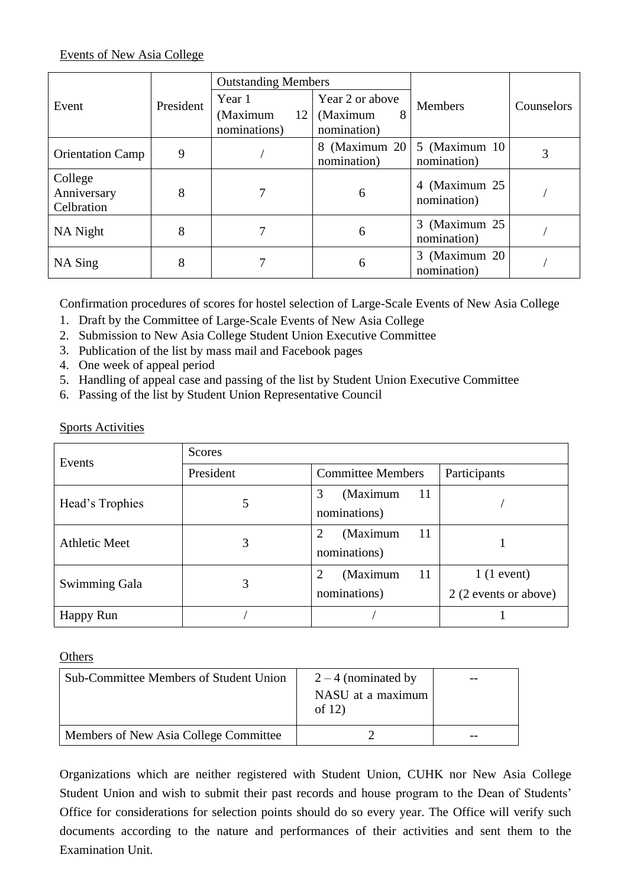## Events of New Asia College

|                                      |           | <b>Outstanding Members</b>     |                               |                               |            |
|--------------------------------------|-----------|--------------------------------|-------------------------------|-------------------------------|------------|
| Event                                | President | Year 1                         | Year 2 or above               | <b>Members</b>                | Counselors |
|                                      |           | (Maximum<br>12<br>nominations) | (Maximum<br>8<br>nomination)  |                               |            |
| <b>Orientation Camp</b>              | 9         |                                | 8 (Maximum 20)<br>nomination) | 5 (Maximum 10)<br>nomination) |            |
| College<br>Anniversary<br>Celbration | 8         |                                | 6                             | 4 (Maximum 25)<br>nomination) |            |
| NA Night                             | 8         |                                | 6                             | 3 (Maximum 25)<br>nomination) |            |
| NA Sing                              | 8         |                                | 6                             | 3 (Maximum 20)<br>nomination) |            |

Confirmation procedures of scores for hostel selection of Large-Scale Events of New Asia College

- 1. Draft by the Committee of Large-Scale Events of New Asia College
- 2. Submission to New Asia College Student Union Executive Committee
- 3. Publication of the list by mass mail and Facebook pages
- 4. One week of appeal period
- 5. Handling of appeal case and passing of the list by Student Union Executive Committee
- 6. Passing of the list by Student Union Representative Council

### Sports Activities

| Events               | Scores    |                                                             |                                       |  |  |  |
|----------------------|-----------|-------------------------------------------------------------|---------------------------------------|--|--|--|
|                      | President | <b>Committee Members</b>                                    | Participants                          |  |  |  |
| Head's Trophies      | 5         | (Maximum<br>11<br>3<br>nominations)                         |                                       |  |  |  |
| <b>Athletic Meet</b> | 3         | (Maximum<br>11<br>2<br>nominations)                         |                                       |  |  |  |
| Swimming Gala        | 3         | (Maximum<br><sup>11</sup><br>$\overline{2}$<br>nominations) | $1(1$ event)<br>2 (2 events or above) |  |  |  |
| Happy Run            |           |                                                             |                                       |  |  |  |

**Others** 

| <b>Sub-Committee Members of Student Union</b> | $2 - 4$ (nominated by<br>NASU at a maximum<br>of $12)$ |  |
|-----------------------------------------------|--------------------------------------------------------|--|
| Members of New Asia College Committee         |                                                        |  |

Organizations which are neither registered with Student Union, CUHK nor New Asia College Student Union and wish to submit their past records and house program to the Dean of Students' Office for considerations for selection points should do so every year. The Office will verify such documents according to the nature and performances of their activities and sent them to the Examination Unit.